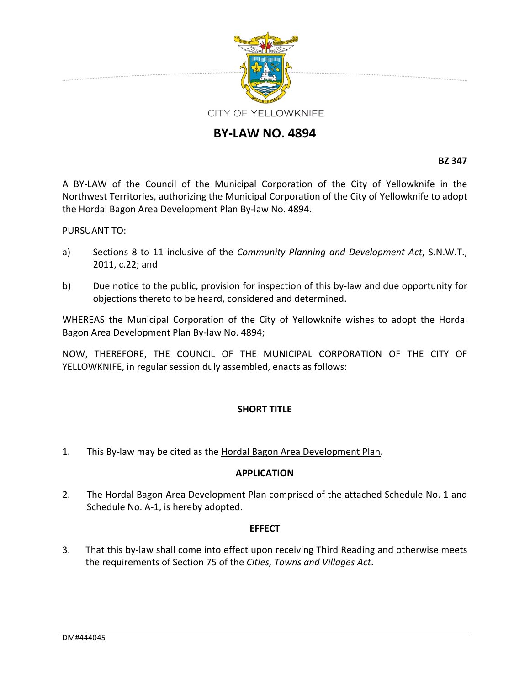

# **BY‐LAW NO. 4894**

**BZ 347**

A BY‐LAW of the Council of the Municipal Corporation of the City of Yellowknife in the Northwest Territories, authorizing the Municipal Corporation of the City of Yellowknife to adopt the Hordal Bagon Area Development Plan By‐law No. 4894.

PURSUANT TO:

- a) Sections 8 to 11 inclusive of the *Community Planning and Development Act*, S.N.W.T., 2011, c.22; and
- b) Due notice to the public, provision for inspection of this by-law and due opportunity for objections thereto to be heard, considered and determined.

WHEREAS the Municipal Corporation of the City of Yellowknife wishes to adopt the Hordal Bagon Area Development Plan By‐law No. 4894;

NOW, THEREFORE, THE COUNCIL OF THE MUNICIPAL CORPORATION OF THE CITY OF YELLOWKNIFE, in regular session duly assembled, enacts as follows:

## **SHORT TITLE**

1. This By-law may be cited as the Hordal Bagon Area Development Plan.

## **APPLICATION**

2. The Hordal Bagon Area Development Plan comprised of the attached Schedule No. 1 and Schedule No. A‐1, is hereby adopted.

## **EFFECT**

3. That this by-law shall come into effect upon receiving Third Reading and otherwise meets the requirements of Section 75 of the *Cities, Towns and Villages Act*.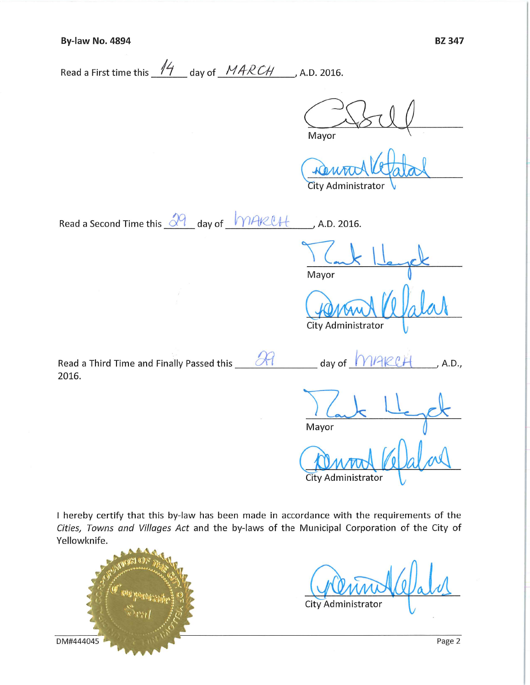| Read a First time this $14$ day of $MARCH$ , A.D. 2016. |  |
|---------------------------------------------------------|--|
|---------------------------------------------------------|--|

Mayor

City Administrator

Read a Second Time this 29 day of MAKUH , A.D. 2016.

Mayor

City Administrator

| Read a Third Time and Finally Passed this | day of MARCH | , A.D., |
|-------------------------------------------|--------------|---------|
| 2016.                                     |              |         |

Mayor

City Administrator

I hereby certify that this by-law has been made in accordance with the requirements of the Cities, Towns and Villages Act and the by-laws of the Municipal Corporation of the City of Yellowknife.

noombis gibb DM#444045

City Administrator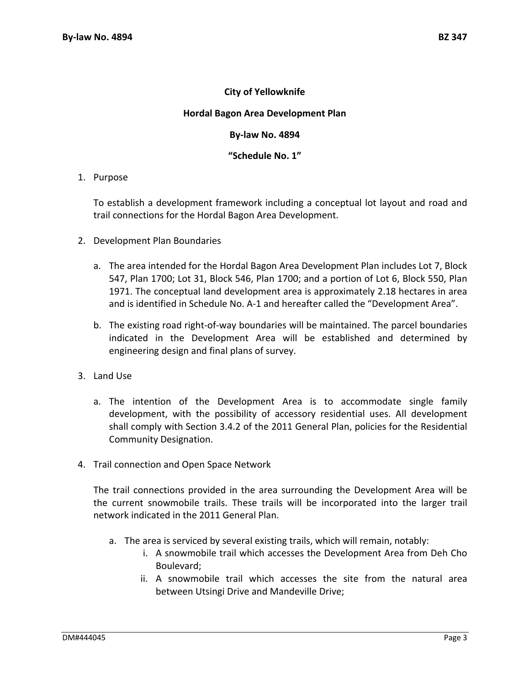## **City of Yellowknife**

### **Hordal Bagon Area Development Plan**

#### **By‐law No. 4894**

### **"Schedule No. 1"**

### 1. Purpose

To establish a development framework including a conceptual lot layout and road and trail connections for the Hordal Bagon Area Development.

- 2. Development Plan Boundaries
	- a. The area intended for the Hordal Bagon Area Development Plan includes Lot 7, Block 547, Plan 1700; Lot 31, Block 546, Plan 1700; and a portion of Lot 6, Block 550, Plan 1971. The conceptual land development area is approximately 2.18 hectares in area and is identified in Schedule No. A‐1 and hereafter called the "Development Area".
	- b. The existing road right‐of‐way boundaries will be maintained. The parcel boundaries indicated in the Development Area will be established and determined by engineering design and final plans of survey.
- 3. Land Use
	- a. The intention of the Development Area is to accommodate single family development, with the possibility of accessory residential uses. All development shall comply with Section 3.4.2 of the 2011 General Plan, policies for the Residential Community Designation.
- 4. Trail connection and Open Space Network

The trail connections provided in the area surrounding the Development Area will be the current snowmobile trails. These trails will be incorporated into the larger trail network indicated in the 2011 General Plan.

- a. The area is serviced by several existing trails, which will remain, notably:
	- i. A snowmobile trail which accesses the Development Area from Deh Cho Boulevard;
	- ii. A snowmobile trail which accesses the site from the natural area between Utsingi Drive and Mandeville Drive;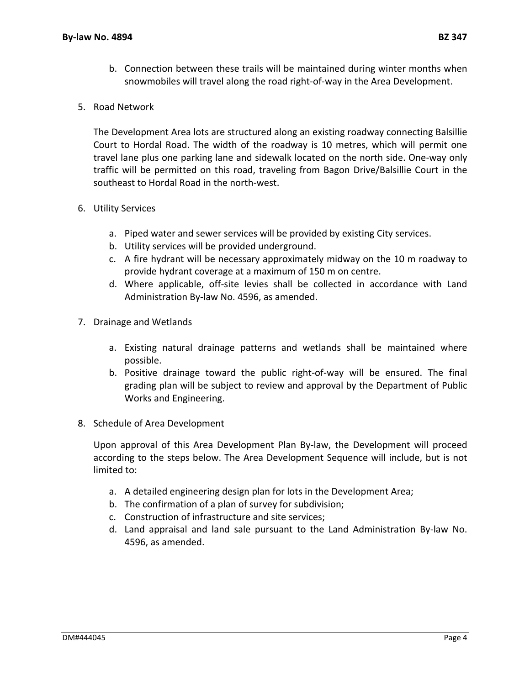- b. Connection between these trails will be maintained during winter months when snowmobiles will travel along the road right‐of‐way in the Area Development.
- 5. Road Network

The Development Area lots are structured along an existing roadway connecting Balsillie Court to Hordal Road. The width of the roadway is 10 metres, which will permit one travel lane plus one parking lane and sidewalk located on the north side. One‐way only traffic will be permitted on this road, traveling from Bagon Drive/Balsillie Court in the southeast to Hordal Road in the north‐west.

## 6. Utility Services

- a. Piped water and sewer services will be provided by existing City services.
- b. Utility services will be provided underground.
- c. A fire hydrant will be necessary approximately midway on the 10 m roadway to provide hydrant coverage at a maximum of 150 m on centre.
- d. Where applicable, off‐site levies shall be collected in accordance with Land Administration By‐law No. 4596, as amended.
- 7. Drainage and Wetlands
	- a. Existing natural drainage patterns and wetlands shall be maintained where possible.
	- b. Positive drainage toward the public right‐of‐way will be ensured. The final grading plan will be subject to review and approval by the Department of Public Works and Engineering.
- 8. Schedule of Area Development

Upon approval of this Area Development Plan By‐law, the Development will proceed according to the steps below. The Area Development Sequence will include, but is not limited to:

- a. A detailed engineering design plan for lots in the Development Area;
- b. The confirmation of a plan of survey for subdivision;
- c. Construction of infrastructure and site services;
- d. Land appraisal and land sale pursuant to the Land Administration By‐law No. 4596, as amended.